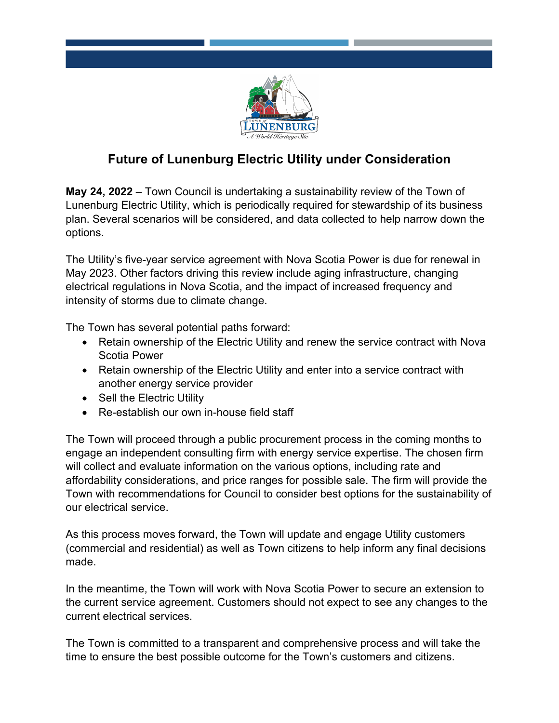

## **Future of Lunenburg Electric Utility under Consideration**

**May 24, 2022** – Town Council is undertaking a sustainability review of the Town of Lunenburg Electric Utility, which is periodically required for stewardship of its business plan. Several scenarios will be considered, and data collected to help narrow down the options.

The Utility's five-year service agreement with Nova Scotia Power is due for renewal in May 2023. Other factors driving this review include aging infrastructure, changing electrical regulations in Nova Scotia, and the impact of increased frequency and intensity of storms due to climate change.

The Town has several potential paths forward:

- Retain ownership of the Electric Utility and renew the service contract with Nova Scotia Power
- Retain ownership of the Electric Utility and enter into a service contract with another energy service provider
- Sell the Electric Utility
- Re-establish our own in-house field staff

The Town will proceed through a public procurement process in the coming months to engage an independent consulting firm with energy service expertise. The chosen firm will collect and evaluate information on the various options, including rate and affordability considerations, and price ranges for possible sale. The firm will provide the Town with recommendations for Council to consider best options for the sustainability of our electrical service.

As this process moves forward, the Town will update and engage Utility customers (commercial and residential) as well as Town citizens to help inform any final decisions made.

In the meantime, the Town will work with Nova Scotia Power to secure an extension to the current service agreement. Customers should not expect to see any changes to the current electrical services.

The Town is committed to a transparent and comprehensive process and will take the time to ensure the best possible outcome for the Town's customers and citizens.